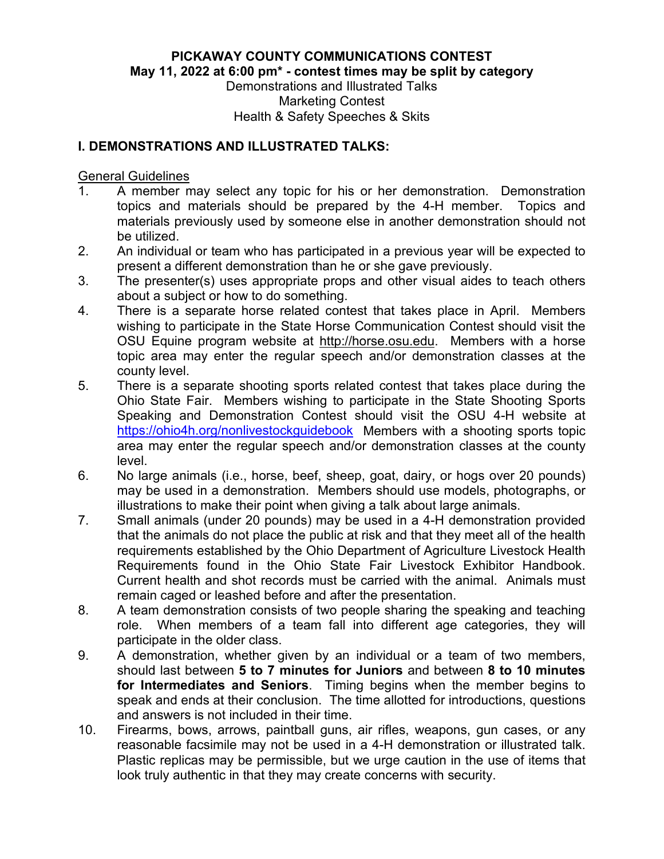**PICKAWAY COUNTY COMMUNICATIONS CONTEST May 11, 2022 at 6:00 pm\* - contest times may be split by category**

Demonstrations and Illustrated Talks Marketing Contest Health & Safety Speeches & Skits

### **I. DEMONSTRATIONS AND ILLUSTRATED TALKS:**

General Guidelines

- 1. A member may select any topic for his or her demonstration. Demonstration topics and materials should be prepared by the 4-H member. Topics and materials previously used by someone else in another demonstration should not be utilized.
- 2. An individual or team who has participated in a previous year will be expected to present a different demonstration than he or she gave previously.
- 3. The presenter(s) uses appropriate props and other visual aides to teach others about a subject or how to do something.
- 4. There is a separate horse related contest that takes place in April. Members wishing to participate in the State Horse Communication Contest should visit the OSU Equine program website at http://horse.osu.edu. Members with a horse topic area may enter the regular speech and/or demonstration classes at the county level.
- 5. There is a separate shooting sports related contest that takes place during the Ohio State Fair. Members wishing to participate in the State Shooting Sports Speaking and Demonstration Contest should visit the OSU 4-H website at <https://ohio4h.org/nonlivestockguidebook>Members with a shooting sports topic area may enter the regular speech and/or demonstration classes at the county level.
- 6. No large animals (i.e., horse, beef, sheep, goat, dairy, or hogs over 20 pounds) may be used in a demonstration. Members should use models, photographs, or illustrations to make their point when giving a talk about large animals.
- 7. Small animals (under 20 pounds) may be used in a 4-H demonstration provided that the animals do not place the public at risk and that they meet all of the health requirements established by the Ohio Department of Agriculture Livestock Health Requirements found in the Ohio State Fair Livestock Exhibitor Handbook. Current health and shot records must be carried with the animal. Animals must remain caged or leashed before and after the presentation.
- 8. A team demonstration consists of two people sharing the speaking and teaching role. When members of a team fall into different age categories, they will participate in the older class.
- 9. A demonstration, whether given by an individual or a team of two members, should last between **5 to 7 minutes for Juniors** and between **8 to 10 minutes for Intermediates and Seniors**. Timing begins when the member begins to speak and ends at their conclusion. The time allotted for introductions, questions and answers is not included in their time.
- 10. Firearms, bows, arrows, paintball guns, air rifles, weapons, gun cases, or any reasonable facsimile may not be used in a 4-H demonstration or illustrated talk. Plastic replicas may be permissible, but we urge caution in the use of items that look truly authentic in that they may create concerns with security.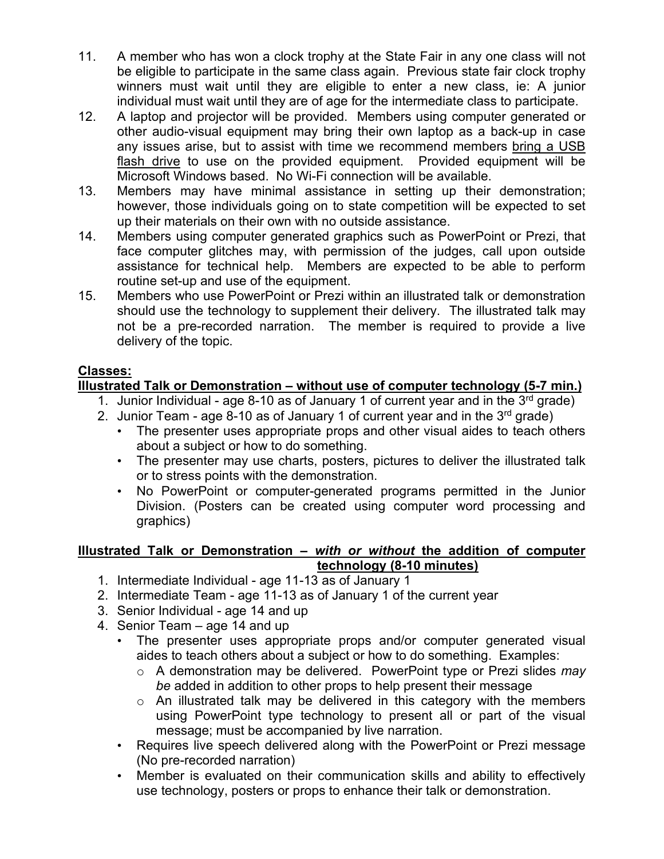- 11. A member who has won a clock trophy at the State Fair in any one class will not be eligible to participate in the same class again. Previous state fair clock trophy winners must wait until they are eligible to enter a new class, ie: A junior individual must wait until they are of age for the intermediate class to participate.
- 12. A laptop and projector will be provided. Members using computer generated or other audio-visual equipment may bring their own laptop as a back-up in case any issues arise, but to assist with time we recommend members bring a USB flash drive to use on the provided equipment. Provided equipment will be Microsoft Windows based. No Wi-Fi connection will be available.
- 13. Members may have minimal assistance in setting up their demonstration; however, those individuals going on to state competition will be expected to set up their materials on their own with no outside assistance.
- 14. Members using computer generated graphics such as PowerPoint or Prezi, that face computer glitches may, with permission of the judges, call upon outside assistance for technical help. Members are expected to be able to perform routine set-up and use of the equipment.
- 15. Members who use PowerPoint or Prezi within an illustrated talk or demonstration should use the technology to supplement their delivery. The illustrated talk may not be a pre-recorded narration. The member is required to provide a live delivery of the topic.

# **Classes:**

## **Illustrated Talk or Demonstration – without use of computer technology (5-7 min.)**

- 1. Junior Individual age 8-10 as of January 1 of current year and in the  $3<sup>rd</sup>$  grade)
- 2. Junior Team age 8-10 as of January 1 of current year and in the  $3<sup>rd</sup>$  grade)
	- The presenter uses appropriate props and other visual aides to teach others about a subject or how to do something.
	- The presenter may use charts, posters, pictures to deliver the illustrated talk or to stress points with the demonstration.
	- No PowerPoint or computer-generated programs permitted in the Junior Division. (Posters can be created using computer word processing and graphics)

### **Illustrated Talk or Demonstration –** *with or without* **the addition of computer technology (8-10 minutes)**

- 1. Intermediate Individual age 11-13 as of January 1
- 2. Intermediate Team age 11-13 as of January 1 of the current year
- 3. Senior Individual age 14 and up
- 4. Senior Team age 14 and up
	- The presenter uses appropriate props and/or computer generated visual aides to teach others about a subject or how to do something. Examples:
		- o A demonstration may be delivered. PowerPoint type or Prezi slides *may be* added in addition to other props to help present their message
		- $\circ$  An illustrated talk may be delivered in this category with the members using PowerPoint type technology to present all or part of the visual message; must be accompanied by live narration.
	- Requires live speech delivered along with the PowerPoint or Prezi message (No pre-recorded narration)
	- Member is evaluated on their communication skills and ability to effectively use technology, posters or props to enhance their talk or demonstration.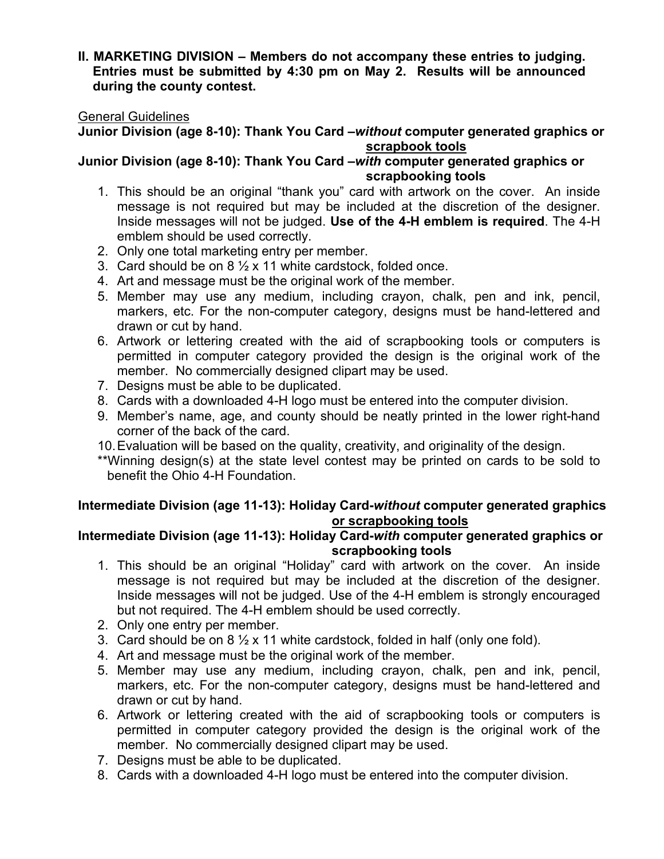#### **II. MARKETING DIVISION – Members do not accompany these entries to judging. Entries must be submitted by 4:30 pm on May 2. Results will be announced during the county contest.**

#### General Guidelines

#### **Junior Division (age 8-10): Thank You Card –***without* **computer generated graphics or scrapbook tools**

**Junior Division (age 8-10): Thank You Card –***with* **computer generated graphics or scrapbooking tools**

- 1. This should be an original "thank you" card with artwork on the cover. An inside message is not required but may be included at the discretion of the designer. Inside messages will not be judged. **Use of the 4-H emblem is required**. The 4-H emblem should be used correctly.
- 2. Only one total marketing entry per member.
- 3. Card should be on  $8\frac{1}{2}$  x 11 white cardstock, folded once.
- 4. Art and message must be the original work of the member.
- 5. Member may use any medium, including crayon, chalk, pen and ink, pencil, markers, etc. For the non-computer category, designs must be hand-lettered and drawn or cut by hand.
- 6. Artwork or lettering created with the aid of scrapbooking tools or computers is permitted in computer category provided the design is the original work of the member. No commercially designed clipart may be used.
- 7. Designs must be able to be duplicated.
- 8. Cards with a downloaded 4-H logo must be entered into the computer division.
- 9. Member's name, age, and county should be neatly printed in the lower right-hand corner of the back of the card.
- 10.Evaluation will be based on the quality, creativity, and originality of the design.
- \*\*Winning design(s) at the state level contest may be printed on cards to be sold to benefit the Ohio 4-H Foundation.

### **Intermediate Division (age 11-13): Holiday Card-***without* **computer generated graphics or scrapbooking tools**

### **Intermediate Division (age 11-13): Holiday Card-***with* **computer generated graphics or scrapbooking tools**

- 1. This should be an original "Holiday" card with artwork on the cover. An inside message is not required but may be included at the discretion of the designer. Inside messages will not be judged. Use of the 4-H emblem is strongly encouraged but not required. The 4-H emblem should be used correctly.
- 2. Only one entry per member.
- 3. Card should be on 8  $\frac{1}{2}$  x 11 white cardstock, folded in half (only one fold).
- 4. Art and message must be the original work of the member.
- 5. Member may use any medium, including crayon, chalk, pen and ink, pencil, markers, etc. For the non-computer category, designs must be hand-lettered and drawn or cut by hand.
- 6. Artwork or lettering created with the aid of scrapbooking tools or computers is permitted in computer category provided the design is the original work of the member. No commercially designed clipart may be used.
- 7. Designs must be able to be duplicated.
- 8. Cards with a downloaded 4-H logo must be entered into the computer division.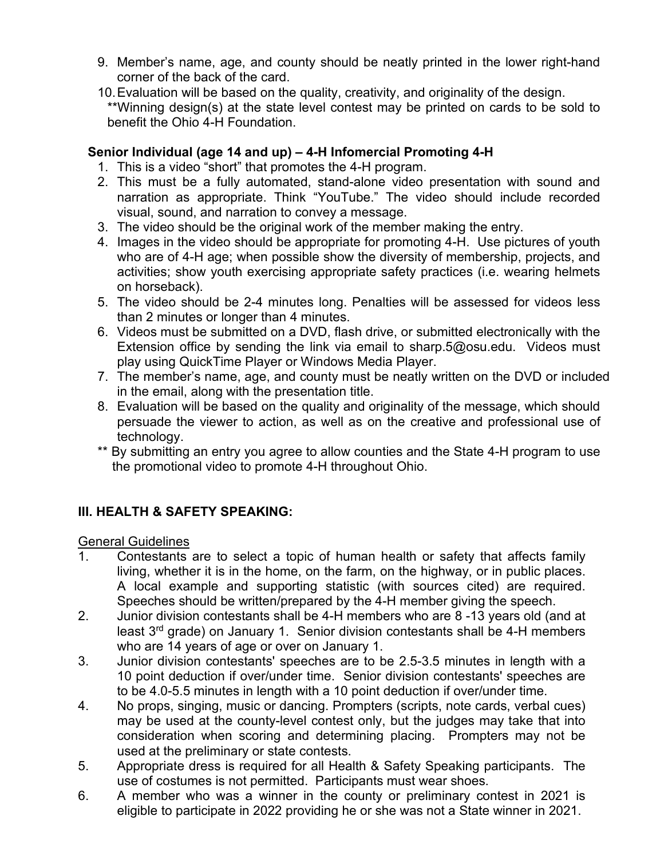- 9. Member's name, age, and county should be neatly printed in the lower right-hand corner of the back of the card.
- 10.Evaluation will be based on the quality, creativity, and originality of the design. \*\*Winning design(s) at the state level contest may be printed on cards to be sold to benefit the Ohio 4-H Foundation.

### **Senior Individual (age 14 and up) – 4-H Infomercial Promoting 4-H**

- 1. This is a video "short" that promotes the 4-H program.
- 2. This must be a fully automated, stand-alone video presentation with sound and narration as appropriate. Think "YouTube." The video should include recorded visual, sound, and narration to convey a message.
- 3. The video should be the original work of the member making the entry.
- 4. Images in the video should be appropriate for promoting 4-H. Use pictures of youth who are of 4-H age; when possible show the diversity of membership, projects, and activities; show youth exercising appropriate safety practices (i.e. wearing helmets on horseback).
- 5. The video should be 2-4 minutes long. Penalties will be assessed for videos less than 2 minutes or longer than 4 minutes.
- 6. Videos must be submitted on a DVD, flash drive, or submitted electronically with the Extension office by sending the link via email to sharp.5@osu.edu. Videos must play using QuickTime Player or Windows Media Player.
- 7. The member's name, age, and county must be neatly written on the DVD or included in the email, along with the presentation title.
- 8. Evaluation will be based on the quality and originality of the message, which should persuade the viewer to action, as well as on the creative and professional use of technology.
- \*\* By submitting an entry you agree to allow counties and the State 4-H program to use the promotional video to promote 4-H throughout Ohio.

# **III. HEALTH & SAFETY SPEAKING:**

General Guidelines

- 1. Contestants are to select a topic of human health or safety that affects family living, whether it is in the home, on the farm, on the highway, or in public places. A local example and supporting statistic (with sources cited) are required. Speeches should be written/prepared by the 4-H member giving the speech.
- 2. Junior division contestants shall be 4-H members who are 8 -13 years old (and at least  $3<sup>rd</sup>$  grade) on January 1. Senior division contestants shall be 4-H members who are 14 years of age or over on January 1.
- 3. Junior division contestants' speeches are to be 2.5-3.5 minutes in length with a 10 point deduction if over/under time. Senior division contestants' speeches are to be 4.0-5.5 minutes in length with a 10 point deduction if over/under time.
- 4. No props, singing, music or dancing. Prompters (scripts, note cards, verbal cues) may be used at the county-level contest only, but the judges may take that into consideration when scoring and determining placing. Prompters may not be used at the preliminary or state contests.
- 5. Appropriate dress is required for all Health & Safety Speaking participants. The use of costumes is not permitted. Participants must wear shoes.
- 6. A member who was a winner in the county or preliminary contest in 2021 is eligible to participate in 2022 providing he or she was not a State winner in 2021.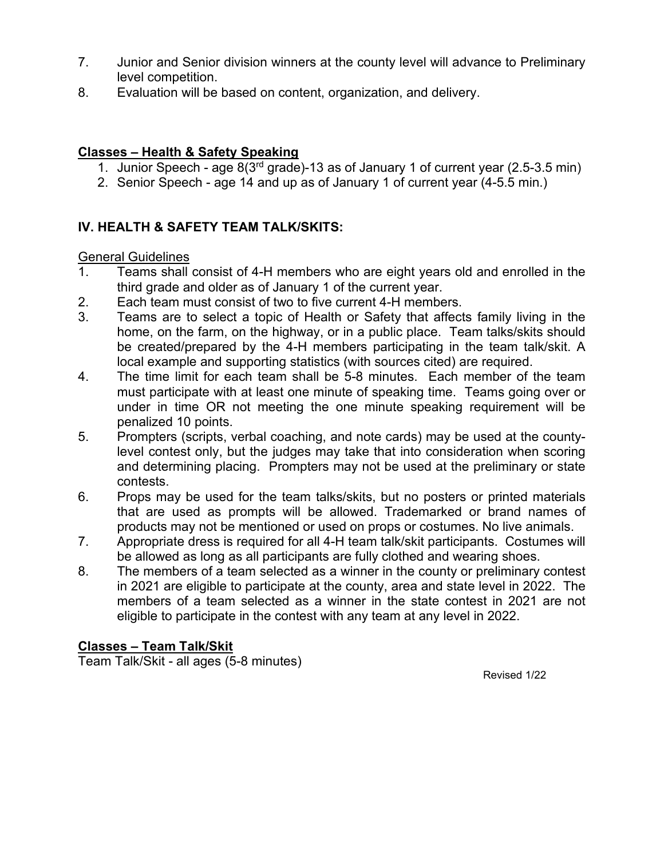- 7. Junior and Senior division winners at the county level will advance to Preliminary level competition.
- 8. Evaluation will be based on content, organization, and delivery.

### **Classes – Health & Safety Speaking**

- 1. Junior Speech age 8(3rd grade)-13 as of January 1 of current year (2.5-3.5 min)
- 2. Senior Speech age 14 and up as of January 1 of current year (4-5.5 min.)

## **IV. HEALTH & SAFETY TEAM TALK/SKITS:**

#### General Guidelines

- 1. Teams shall consist of 4-H members who are eight years old and enrolled in the third grade and older as of January 1 of the current year.
- 2. Each team must consist of two to five current 4-H members.
- 3. Teams are to select a topic of Health or Safety that affects family living in the home, on the farm, on the highway, or in a public place. Team talks/skits should be created/prepared by the 4-H members participating in the team talk/skit. A local example and supporting statistics (with sources cited) are required.
- 4. The time limit for each team shall be 5-8 minutes. Each member of the team must participate with at least one minute of speaking time. Teams going over or under in time OR not meeting the one minute speaking requirement will be penalized 10 points.
- 5. Prompters (scripts, verbal coaching, and note cards) may be used at the countylevel contest only, but the judges may take that into consideration when scoring and determining placing. Prompters may not be used at the preliminary or state contests.
- 6. Props may be used for the team talks/skits, but no posters or printed materials that are used as prompts will be allowed. Trademarked or brand names of products may not be mentioned or used on props or costumes. No live animals.
- 7. Appropriate dress is required for all 4-H team talk/skit participants. Costumes will be allowed as long as all participants are fully clothed and wearing shoes.
- 8. The members of a team selected as a winner in the county or preliminary contest in 2021 are eligible to participate at the county, area and state level in 2022. The members of a team selected as a winner in the state contest in 2021 are not eligible to participate in the contest with any team at any level in 2022.

### **Classes – Team Talk/Skit**

Team Talk/Skit - all ages (5-8 minutes)

Revised 1/22